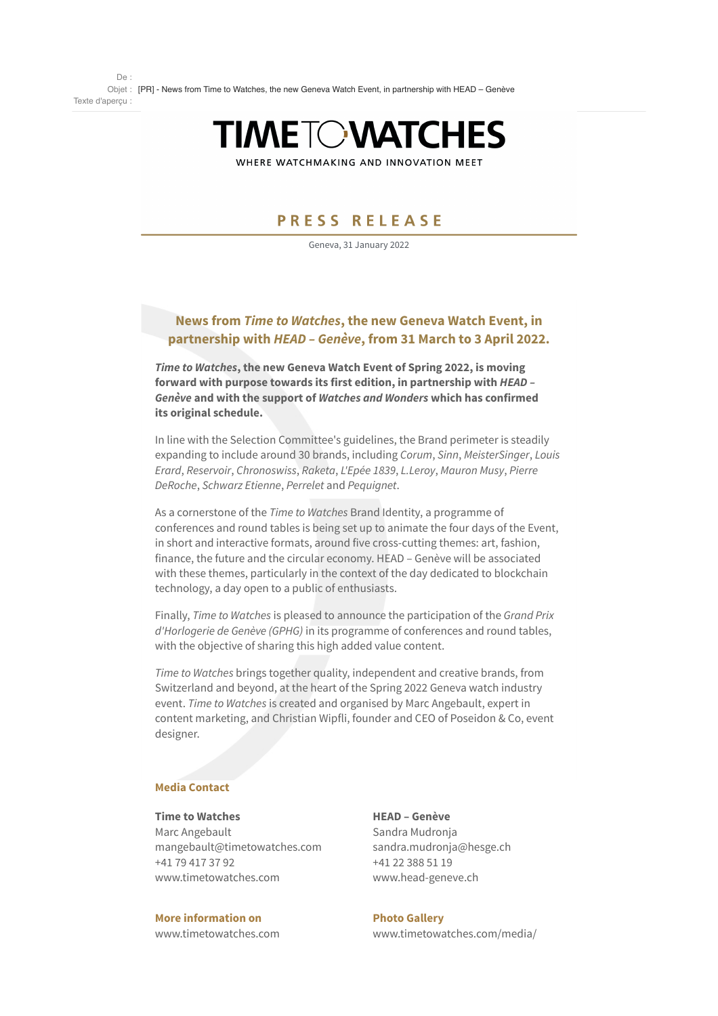

WHERE WATCHMAKING AND INNOVATION MEET

# PRESS RELEASE

Geneva, 31 January 2022

## **News from** *Time to Watches***, the new Geneva Watch Event, in partnership with** *HEAD – Genève***, from 31 March to 3 April 2022.**

*Time to Watches***, the new Geneva Watch Event of Spring 2022, is moving forward with purpose towards its first edition, in partnership with** *HEAD – Genève* **and with the support of** *Watches and Wonders* **which has confirmed its original schedule.**

In line with the Selection Committee's guidelines, the Brand perimeter is steadily expanding to include around 30 brands, including *Corum*, *Sinn*, *MeisterSinger*, *Louis Erard*, *Reservoir*, *Chronoswiss*, *Raketa*, *L'Epée 1839*, *L.Leroy*, *Mauron Musy*, *Pierre DeRoche*, *Schwarz Etienne*, *Perrelet* and *Pequignet*.

As a cornerstone of the *Time to Watches* Brand Identity, a programme of conferences and round tables is being set up to animate the four days of the Event, in short and interactive formats, around five cross-cutting themes: art, fashion, finance, the future and the circular economy. HEAD – Genève will be associated with these themes, particularly in the context of the day dedicated to blockchain technology, a day open to a public of enthusiasts.

Finally, *Time to Watches* is pleased to announce the participation of the *Grand Prix d'Horlogerie de Genève (GPHG)* in its programme of conferences and round tables, with the objective of sharing this high added value content.

*Time to Watches* brings together quality, independent and creative brands, from Switzerland and beyond, at the heart of the Spring 2022 Geneva watch industry event. *Time to Watches* is created and organised by Marc Angebault, expert in content marketing, and Christian Wipfli, founder and CEO of Poseidon & Co, event designer.

### **Media Contact**

#### **Time to Watches**

Marc Angebault mangebault@timetowatches.com +41 79 417 37 92 www.timetowatches.com

Sandra Mudronja sandra.mudronja@hesge.ch +41 22 388 51 19 www.head-geneve.ch

**HEAD – Genève**

**More information on** www.timetowatches.com **Photo Gallery** www.timetowatches.com/media/